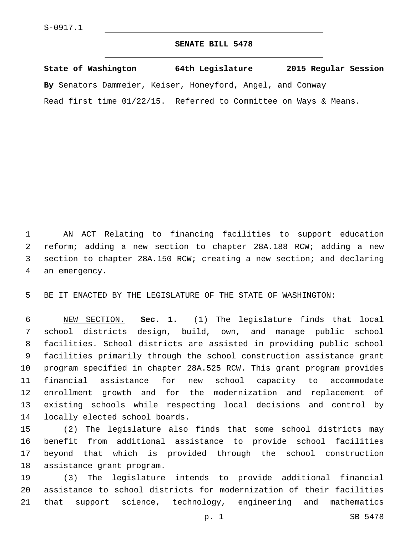## **SENATE BILL 5478**

**State of Washington 64th Legislature 2015 Regular Session By** Senators Dammeier, Keiser, Honeyford, Angel, and Conway Read first time 01/22/15. Referred to Committee on Ways & Means.

 AN ACT Relating to financing facilities to support education reform; adding a new section to chapter 28A.188 RCW; adding a new section to chapter 28A.150 RCW; creating a new section; and declaring 4 an emergency.

BE IT ENACTED BY THE LEGISLATURE OF THE STATE OF WASHINGTON:

 NEW SECTION. **Sec. 1.** (1) The legislature finds that local school districts design, build, own, and manage public school facilities. School districts are assisted in providing public school facilities primarily through the school construction assistance grant program specified in chapter 28A.525 RCW. This grant program provides financial assistance for new school capacity to accommodate enrollment growth and for the modernization and replacement of existing schools while respecting local decisions and control by locally elected school boards.

 (2) The legislature also finds that some school districts may benefit from additional assistance to provide school facilities beyond that which is provided through the school construction 18 assistance grant program.

 (3) The legislature intends to provide additional financial assistance to school districts for modernization of their facilities that support science, technology, engineering and mathematics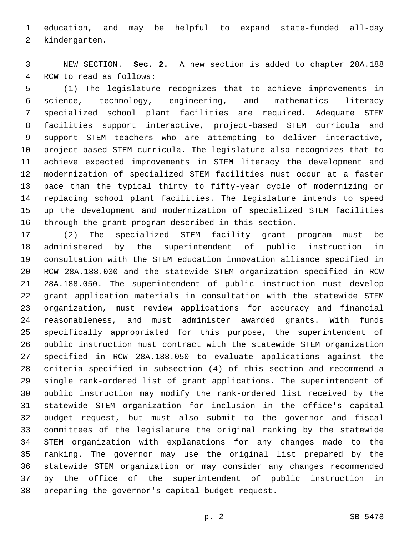education, and may be helpful to expand state-funded all-day 2 kindergarten.

 NEW SECTION. **Sec. 2.** A new section is added to chapter 28A.188 4 RCW to read as follows:

 (1) The legislature recognizes that to achieve improvements in science, technology, engineering, and mathematics literacy specialized school plant facilities are required. Adequate STEM facilities support interactive, project-based STEM curricula and support STEM teachers who are attempting to deliver interactive, project-based STEM curricula. The legislature also recognizes that to achieve expected improvements in STEM literacy the development and modernization of specialized STEM facilities must occur at a faster pace than the typical thirty to fifty-year cycle of modernizing or replacing school plant facilities. The legislature intends to speed up the development and modernization of specialized STEM facilities through the grant program described in this section.

 (2) The specialized STEM facility grant program must be administered by the superintendent of public instruction in consultation with the STEM education innovation alliance specified in RCW 28A.188.030 and the statewide STEM organization specified in RCW 28A.188.050. The superintendent of public instruction must develop grant application materials in consultation with the statewide STEM organization, must review applications for accuracy and financial reasonableness, and must administer awarded grants. With funds specifically appropriated for this purpose, the superintendent of public instruction must contract with the statewide STEM organization specified in RCW 28A.188.050 to evaluate applications against the criteria specified in subsection (4) of this section and recommend a single rank-ordered list of grant applications. The superintendent of public instruction may modify the rank-ordered list received by the statewide STEM organization for inclusion in the office's capital budget request, but must also submit to the governor and fiscal committees of the legislature the original ranking by the statewide STEM organization with explanations for any changes made to the ranking. The governor may use the original list prepared by the statewide STEM organization or may consider any changes recommended by the office of the superintendent of public instruction in 38 preparing the governor's capital budget request.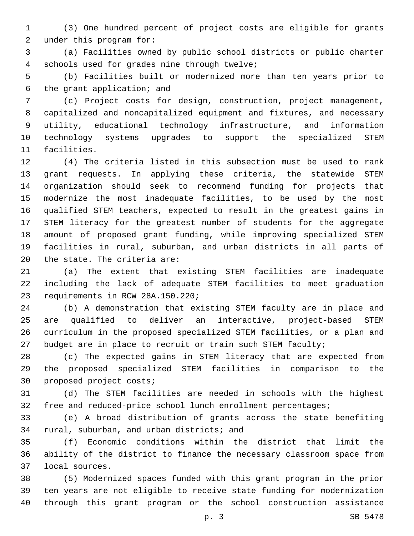(3) One hundred percent of project costs are eligible for grants 2 under this program for:

 (a) Facilities owned by public school districts or public charter schools used for grades nine through twelve;4

 (b) Facilities built or modernized more than ten years prior to 6 the grant application; and

 (c) Project costs for design, construction, project management, capitalized and noncapitalized equipment and fixtures, and necessary utility, educational technology infrastructure, and information technology systems upgrades to support the specialized STEM 11 facilities.

 (4) The criteria listed in this subsection must be used to rank grant requests. In applying these criteria, the statewide STEM organization should seek to recommend funding for projects that modernize the most inadequate facilities, to be used by the most qualified STEM teachers, expected to result in the greatest gains in STEM literacy for the greatest number of students for the aggregate amount of proposed grant funding, while improving specialized STEM facilities in rural, suburban, and urban districts in all parts of  $the state.$  The criteria are:

 (a) The extent that existing STEM facilities are inadequate including the lack of adequate STEM facilities to meet graduation 23 requirements in RCW 28A.150.220;

 (b) A demonstration that existing STEM faculty are in place and are qualified to deliver an interactive, project-based STEM curriculum in the proposed specialized STEM facilities, or a plan and 27 budget are in place to recruit or train such STEM faculty;

 (c) The expected gains in STEM literacy that are expected from the proposed specialized STEM facilities in comparison to the 30 proposed project costs;

 (d) The STEM facilities are needed in schools with the highest 32 free and reduced-price school lunch enrollment percentages;

 (e) A broad distribution of grants across the state benefiting 34 rural, suburban, and urban districts; and

 (f) Economic conditions within the district that limit the ability of the district to finance the necessary classroom space from local sources.37

 (5) Modernized spaces funded with this grant program in the prior ten years are not eligible to receive state funding for modernization through this grant program or the school construction assistance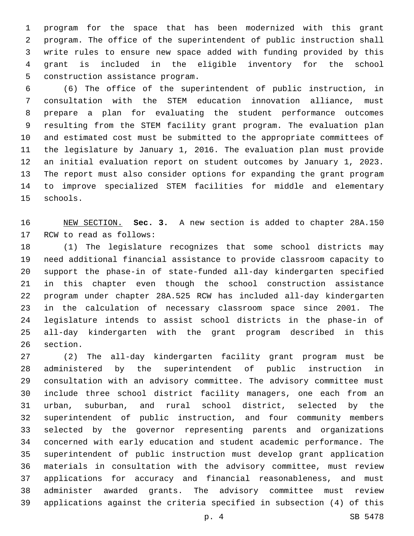program for the space that has been modernized with this grant program. The office of the superintendent of public instruction shall write rules to ensure new space added with funding provided by this grant is included in the eligible inventory for the school 5 construction assistance program.

 (6) The office of the superintendent of public instruction, in consultation with the STEM education innovation alliance, must prepare a plan for evaluating the student performance outcomes resulting from the STEM facility grant program. The evaluation plan and estimated cost must be submitted to the appropriate committees of the legislature by January 1, 2016. The evaluation plan must provide an initial evaluation report on student outcomes by January 1, 2023. The report must also consider options for expanding the grant program to improve specialized STEM facilities for middle and elementary 15 schools.

 NEW SECTION. **Sec. 3.** A new section is added to chapter 28A.150 17 RCW to read as follows:

 (1) The legislature recognizes that some school districts may need additional financial assistance to provide classroom capacity to support the phase-in of state-funded all-day kindergarten specified in this chapter even though the school construction assistance program under chapter 28A.525 RCW has included all-day kindergarten in the calculation of necessary classroom space since 2001. The legislature intends to assist school districts in the phase-in of all-day kindergarten with the grant program described in this 26 section.

 (2) The all-day kindergarten facility grant program must be administered by the superintendent of public instruction in consultation with an advisory committee. The advisory committee must include three school district facility managers, one each from an urban, suburban, and rural school district, selected by the superintendent of public instruction, and four community members selected by the governor representing parents and organizations concerned with early education and student academic performance. The superintendent of public instruction must develop grant application materials in consultation with the advisory committee, must review applications for accuracy and financial reasonableness, and must administer awarded grants. The advisory committee must review applications against the criteria specified in subsection (4) of this

p. 4 SB 5478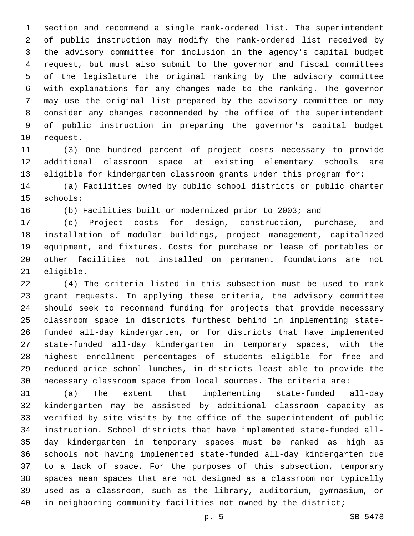section and recommend a single rank-ordered list. The superintendent of public instruction may modify the rank-ordered list received by the advisory committee for inclusion in the agency's capital budget request, but must also submit to the governor and fiscal committees of the legislature the original ranking by the advisory committee with explanations for any changes made to the ranking. The governor may use the original list prepared by the advisory committee or may consider any changes recommended by the office of the superintendent of public instruction in preparing the governor's capital budget 10 request.

 (3) One hundred percent of project costs necessary to provide additional classroom space at existing elementary schools are eligible for kindergarten classroom grants under this program for:

 (a) Facilities owned by public school districts or public charter 15 schools;

(b) Facilities built or modernized prior to 2003; and

 (c) Project costs for design, construction, purchase, and installation of modular buildings, project management, capitalized equipment, and fixtures. Costs for purchase or lease of portables or other facilities not installed on permanent foundations are not 21 eligible.

 (4) The criteria listed in this subsection must be used to rank grant requests. In applying these criteria, the advisory committee should seek to recommend funding for projects that provide necessary classroom space in districts furthest behind in implementing state- funded all-day kindergarten, or for districts that have implemented state-funded all-day kindergarten in temporary spaces, with the highest enrollment percentages of students eligible for free and reduced-price school lunches, in districts least able to provide the necessary classroom space from local sources. The criteria are:

 (a) The extent that implementing state-funded all-day kindergarten may be assisted by additional classroom capacity as verified by site visits by the office of the superintendent of public instruction. School districts that have implemented state-funded all- day kindergarten in temporary spaces must be ranked as high as schools not having implemented state-funded all-day kindergarten due to a lack of space. For the purposes of this subsection, temporary spaces mean spaces that are not designed as a classroom nor typically used as a classroom, such as the library, auditorium, gymnasium, or in neighboring community facilities not owned by the district;